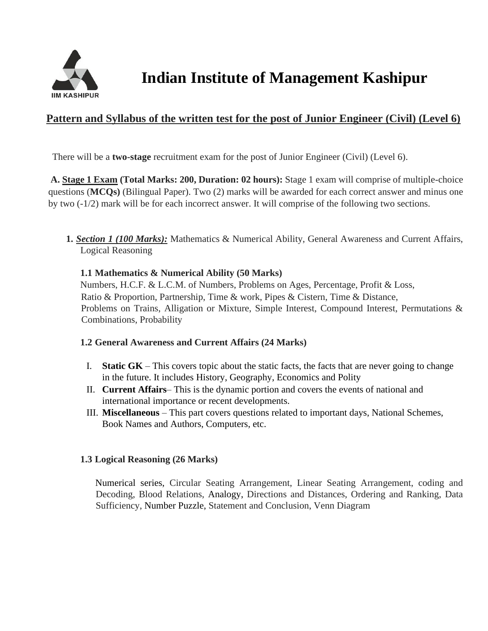

## **Pattern and Syllabus of the written test for the post of Junior Engineer (Civil) (Level 6)**

There will be a **two-stage** recruitment exam for the post of Junior Engineer (Civil) (Level 6).

**A. Stage 1 Exam (Total Marks: 200, Duration: 02 hours):** Stage 1 exam will comprise of multiple-choice questions (**MCQs)** (Bilingual Paper). Two (2) marks will be awarded for each correct answer and minus one by two (-1/2) mark will be for each incorrect answer. It will comprise of the following two sections.

**1.** *Section 1 (100 Marks):* Mathematics & Numerical Ability, General Awareness and Current Affairs, Logical Reasoning

#### **1.1 Mathematics & Numerical Ability (50 Marks)**

Numbers, H.C.F. & L.C.M. of Numbers, Problems on Ages, Percentage, Profit & Loss, Ratio & Proportion, Partnership, Time & work, Pipes & Cistern, Time & Distance, Problems on Trains, Alligation or Mixture, Simple Interest, Compound Interest, Permutations & Combinations, Probability

#### **1.2 General Awareness and Current Affairs (24 Marks)**

- I. **Static GK**  This covers topic about the static facts, the facts that are never going to change in the future. It includes History, Geography, Economics and Polity
- II. **Current Affairs** This is the dynamic portion and covers the events of national and international importance or recent developments.
- III. **Miscellaneous**  This part covers questions related to important days, National Schemes, Book Names and Authors, Computers, etc.

#### **1.3 Logical Reasoning (26 Marks)**

Numerical series, Circular Seating Arrangement, Linear Seating Arrangement, coding and Decoding, Blood Relations, Analogy, Directions and Distances, Ordering and Ranking, Data Sufficiency, Number Puzzle, Statement and Conclusion, Venn Diagram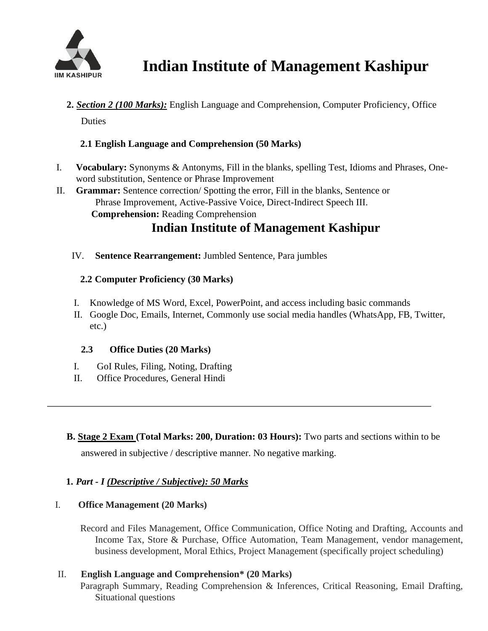

**2.** *Section 2 (100 Marks):* English Language and Comprehension, Computer Proficiency, Office

Duties

### **2.1 English Language and Comprehension (50 Marks)**

- I. **Vocabulary:** Synonyms & Antonyms, Fill in the blanks, spelling Test, Idioms and Phrases, Oneword substitution, Sentence or Phrase Improvement
- II. **Grammar:** Sentence correction/ Spotting the error, Fill in the blanks, Sentence or Phrase Improvement, Active-Passive Voice, Direct-Indirect Speech III. **Comprehension:** Reading Comprehension

# **Indian Institute of Management Kashipur**

IV. **Sentence Rearrangement:** Jumbled Sentence, Para jumbles

### **2.2 Computer Proficiency (30 Marks)**

- I. Knowledge of MS Word, Excel, PowerPoint, and access including basic commands
- II. Google Doc, Emails, Internet, Commonly use social media handles (WhatsApp, FB, Twitter, etc.)

### **2.3 Office Duties (20 Marks)**

- I. GoI Rules, Filing, Noting, Drafting
- II. Office Procedures, General Hindi
- **B. Stage 2 Exam (Total Marks: 200, Duration: 03 Hours):** Two parts and sections within to be answered in subjective / descriptive manner. No negative marking.

## **1.** *Part - I (Descriptive / Subjective): 50 Marks*

### I. **Office Management (20 Marks)**

Record and Files Management, Office Communication, Office Noting and Drafting, Accounts and Income Tax, Store & Purchase, Office Automation, Team Management, vendor management, business development, Moral Ethics, Project Management (specifically project scheduling)

### II. **English Language and Comprehension\* (20 Marks)**

Paragraph Summary, Reading Comprehension & Inferences, Critical Reasoning, Email Drafting, Situational questions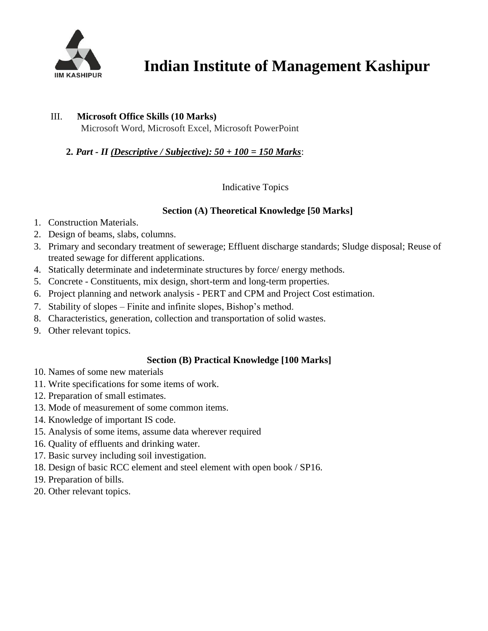

#### III. **Microsoft Office Skills (10 Marks)**

Microsoft Word, Microsoft Excel, Microsoft PowerPoint

#### **2.** *Part - II (Descriptive / Subjective): 50 + 100 = 150 Marks*:

Indicative Topics

#### **Section (A) Theoretical Knowledge [50 Marks]**

- 1. Construction Materials.
- 2. Design of beams, slabs, columns.
- 3. Primary and secondary treatment of sewerage; Effluent discharge standards; Sludge disposal; Reuse of treated sewage for different applications.
- 4. Statically determinate and indeterminate structures by force/ energy methods.
- 5. Concrete Constituents, mix design, short-term and long-term properties.
- 6. Project planning and network analysis PERT and CPM and Project Cost estimation.
- 7. Stability of slopes Finite and infinite slopes, Bishop's method.
- 8. Characteristics, generation, collection and transportation of solid wastes.
- 9. Other relevant topics.

#### **Section (B) Practical Knowledge [100 Marks]**

- 10. Names of some new materials
- 11. Write specifications for some items of work.
- 12. Preparation of small estimates.
- 13. Mode of measurement of some common items.
- 14. Knowledge of important IS code.
- 15. Analysis of some items, assume data wherever required
- 16. Quality of effluents and drinking water.
- 17. Basic survey including soil investigation.
- 18. Design of basic RCC element and steel element with open book / SP16.
- 19. Preparation of bills.
- 20. Other relevant topics.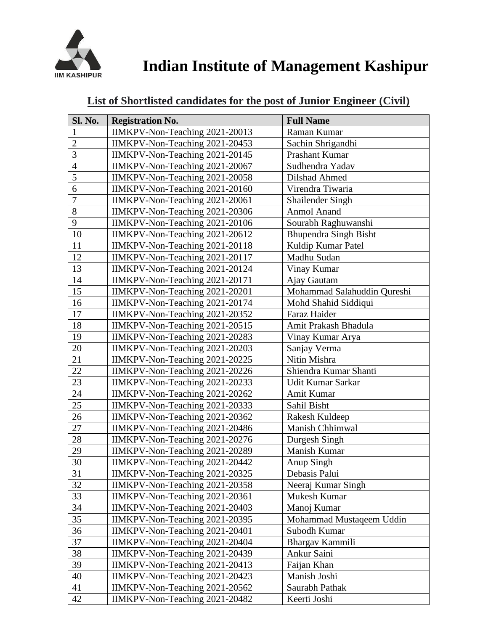

| <b>Sl. No.</b> | <b>Registration No.</b>        | <b>Full Name</b>             |
|----------------|--------------------------------|------------------------------|
| 1              | IIMKPV-Non-Teaching 2021-20013 | Raman Kumar                  |
| $\overline{2}$ | IIMKPV-Non-Teaching 2021-20453 | Sachin Shrigandhi            |
| $\overline{3}$ | IIMKPV-Non-Teaching 2021-20145 | <b>Prashant Kumar</b>        |
| $\overline{4}$ | IIMKPV-Non-Teaching 2021-20067 | Sudhendra Yadav              |
| 5              | IIMKPV-Non-Teaching 2021-20058 | Dilshad Ahmed                |
| 6              | IIMKPV-Non-Teaching 2021-20160 | Virendra Tiwaria             |
| $\overline{7}$ | IIMKPV-Non-Teaching 2021-20061 | Shailender Singh             |
| 8              | IIMKPV-Non-Teaching 2021-20306 | <b>Anmol Anand</b>           |
| 9              | IIMKPV-Non-Teaching 2021-20106 | Sourabh Raghuwanshi          |
| 10             | IIMKPV-Non-Teaching 2021-20612 | <b>Bhupendra Singh Bisht</b> |
| 11             | IIMKPV-Non-Teaching 2021-20118 | Kuldip Kumar Patel           |
| 12             | IIMKPV-Non-Teaching 2021-20117 | Madhu Sudan                  |
| 13             | IIMKPV-Non-Teaching 2021-20124 | Vinay Kumar                  |
| 14             | IIMKPV-Non-Teaching 2021-20171 | Ajay Gautam                  |
| 15             | IIMKPV-Non-Teaching 2021-20201 | Mohammad Salahuddin Qureshi  |
| 16             | IIMKPV-Non-Teaching 2021-20174 | Mohd Shahid Siddiqui         |
| 17             | IIMKPV-Non-Teaching 2021-20352 | Faraz Haider                 |
| 18             | IIMKPV-Non-Teaching 2021-20515 | Amit Prakash Bhadula         |
| 19             | IIMKPV-Non-Teaching 2021-20283 | Vinay Kumar Arya             |
| 20             | IIMKPV-Non-Teaching 2021-20203 | Sanjay Verma                 |
| 21             | IIMKPV-Non-Teaching 2021-20225 | Nitin Mishra                 |
| 22             | IIMKPV-Non-Teaching 2021-20226 | Shiendra Kumar Shanti        |
| 23             | IIMKPV-Non-Teaching 2021-20233 | Udit Kumar Sarkar            |
| 24             | IIMKPV-Non-Teaching 2021-20262 | Amit Kumar                   |
| 25             | IIMKPV-Non-Teaching 2021-20333 | Sahil Bisht                  |
| 26             | IIMKPV-Non-Teaching 2021-20362 | Rakesh Kuldeep               |
| 27             | IIMKPV-Non-Teaching 2021-20486 | Manish Chhimwal              |
| 28             | IIMKPV-Non-Teaching 2021-20276 | Durgesh Singh                |
| 29             | IIMKPV-Non-Teaching 2021-20289 | Manish Kumar                 |
| 30             | IIMKPV-Non-Teaching 2021-20442 | Anup Singh                   |
| 31             | IIMKPV-Non-Teaching 2021-20325 | Debasis Palui                |
| 32             | IIMKPV-Non-Teaching 2021-20358 | Neeraj Kumar Singh           |
| 33             | IIMKPV-Non-Teaching 2021-20361 | Mukesh Kumar                 |
| 34             | IIMKPV-Non-Teaching 2021-20403 | Manoj Kumar                  |
| 35             | IIMKPV-Non-Teaching 2021-20395 | Mohammad Mustaqeem Uddin     |
| 36             | IIMKPV-Non-Teaching 2021-20401 | Subodh Kumar                 |
| 37             | IIMKPV-Non-Teaching 2021-20404 | Bhargav Kammili              |
| 38             | IIMKPV-Non-Teaching 2021-20439 | Ankur Saini                  |
| 39             | IIMKPV-Non-Teaching 2021-20413 | Faijan Khan                  |
| 40             | IIMKPV-Non-Teaching 2021-20423 | Manish Joshi                 |
| 41             | IIMKPV-Non-Teaching 2021-20562 | Saurabh Pathak               |
| 42             | IIMKPV-Non-Teaching 2021-20482 | Keerti Joshi                 |

## **List of Shortlisted candidates for the post of Junior Engineer (Civil)**